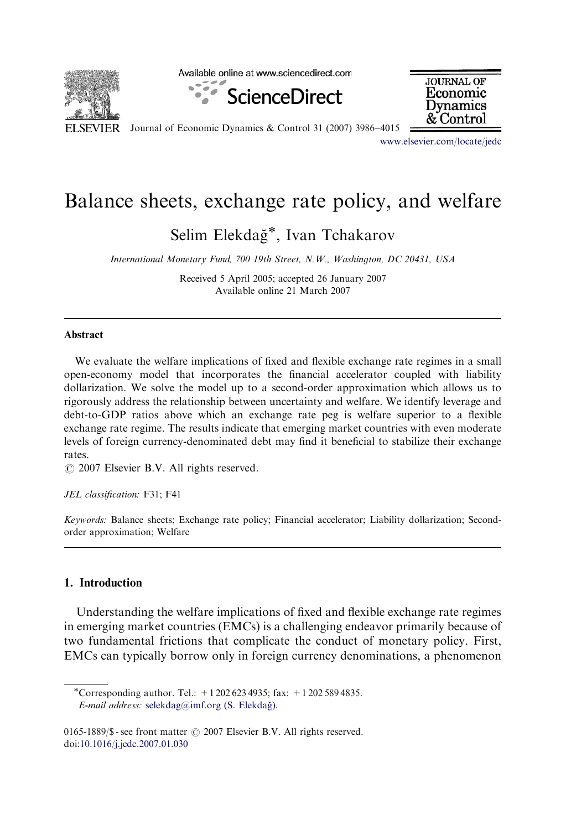

Available online at www.sciencedirect.com





ELSEVIER Journal of Economic Dynamics & Control 31 (2007) 3986-4015

<www.elsevier.com/locate/jedc>

## Balance sheets, exchange rate policy, and welfare

Selim Elekdağ<sup>\*</sup>, Ivan Tchakarov

International Monetary Fund, 700 19th Street, N.W., Washington, DC 20431, USA

Received 5 April 2005; accepted 26 January 2007 Available online 21 March 2007

## **Abstract**

We evaluate the welfare implications of fixed and flexible exchange rate regimes in a small open-economy model that incorporates the financial accelerator coupled with liability dollarization. We solve the model up to a second-order approximation which allows us to rigorously address the relationship between uncertainty and welfare. We identify leverage and debt-to-GDP ratios above which an exchange rate peg is welfare superior to a flexible exchange rate regime. The results indicate that emerging market countries with even moderate levels of foreign currency-denominated debt may find it beneficial to stabilize their exchange rates.

 $O$  2007 Elsevier B.V. All rights reserved.

JEL classification: F31; F41

Keywords: Balance sheets; Exchange rate policy; Financial accelerator; Liability dollarization; Secondorder approximation; Welfare

## 1. Introduction

Understanding the welfare implications of fixed and flexible exchange rate regimes in emerging market countries (EMCs) is a challenging endeavor primarily because of two fundamental frictions that complicate the conduct of monetary policy. First, EMCs can typically borrow only in foreign currency denominations, a phenomenon

<sup>-</sup>Corresponding author. Tel.: +1 202 623 4935; fax: +1 202 589 4835. E-mail address: selekdag@imf.org (S. Elekdağ).

<sup>0165-1889/\$ -</sup> see front matter  $\odot$  2007 Elsevier B.V. All rights reserved. doi:[10.1016/j.jedc.2007.01.030](dx.doi.org/10.1016/j.jedc.2007.01.030)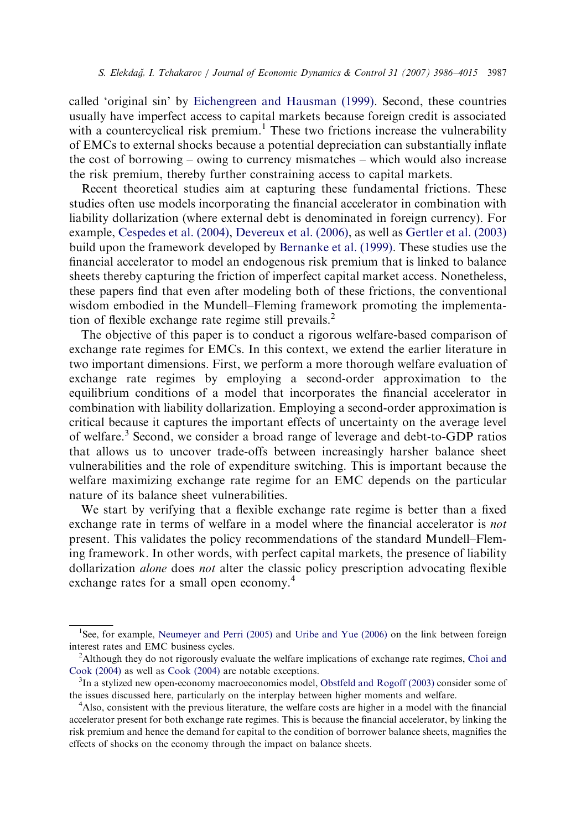called 'original sin' by [Eichengreen and Hausman \(1999\).](#page--1-0) Second, these countries usually have imperfect access to capital markets because foreign credit is associated with a countercyclical risk premium.<sup>1</sup> These two frictions increase the vulnerability of EMCs to external shocks because a potential depreciation can substantially inflate the cost of borrowing – owing to currency mismatches – which would also increase the risk premium, thereby further constraining access to capital markets.

Recent theoretical studies aim at capturing these fundamental frictions. These studies often use models incorporating the financial accelerator in combination with liability dollarization (where external debt is denominated in foreign currency). For example, [Cespedes et al. \(2004\),](#page--1-0) [Devereux et al. \(2006\),](#page--1-0) as well as [Gertler et al. \(2003\)](#page--1-0) build upon the framework developed by [Bernanke et al. \(1999\).](#page--1-0) These studies use the financial accelerator to model an endogenous risk premium that is linked to balance sheets thereby capturing the friction of imperfect capital market access. Nonetheless, these papers find that even after modeling both of these frictions, the conventional wisdom embodied in the Mundell–Fleming framework promoting the implementation of flexible exchange rate regime still prevails.<sup>2</sup>

The objective of this paper is to conduct a rigorous welfare-based comparison of exchange rate regimes for EMCs. In this context, we extend the earlier literature in two important dimensions. First, we perform a more thorough welfare evaluation of exchange rate regimes by employing a second-order approximation to the equilibrium conditions of a model that incorporates the financial accelerator in combination with liability dollarization. Employing a second-order approximation is critical because it captures the important effects of uncertainty on the average level of welfare.<sup>3</sup> Second, we consider a broad range of leverage and debt-to-GDP ratios that allows us to uncover trade-offs between increasingly harsher balance sheet vulnerabilities and the role of expenditure switching. This is important because the welfare maximizing exchange rate regime for an EMC depends on the particular nature of its balance sheet vulnerabilities.

We start by verifying that a flexible exchange rate regime is better than a fixed exchange rate in terms of welfare in a model where the financial accelerator is not present. This validates the policy recommendations of the standard Mundell–Fleming framework. In other words, with perfect capital markets, the presence of liability dollarization *alone* does not alter the classic policy prescription advocating flexible exchange rates for a small open economy.<sup>4</sup>

<sup>&</sup>lt;sup>1</sup>See, for example, [Neumeyer and Perri \(2005\)](#page--1-0) and [Uribe and Yue \(2006\)](#page--1-0) on the link between foreign interest rates and EMC business cycles. <sup>2</sup>

<sup>&</sup>lt;sup>2</sup>Although they do not rigorously evaluate the welfare implications of exchange rate regimes, [Choi and](#page--1-0) [Cook \(2004\)](#page--1-0) as well as Cook (2004) are notable exceptions.

<sup>&</sup>lt;sup>3</sup>In a stylized new open-economy macroeconomics model, [Obstfeld and Rogoff \(2003\)](#page--1-0) consider some of the issues discussed here, particularly on the interplay between higher moments and welfare.

<sup>&</sup>lt;sup>4</sup>Also, consistent with the previous literature, the welfare costs are higher in a model with the financial accelerator present for both exchange rate regimes. This is because the financial accelerator, by linking the risk premium and hence the demand for capital to the condition of borrower balance sheets, magnifies the effects of shocks on the economy through the impact on balance sheets.